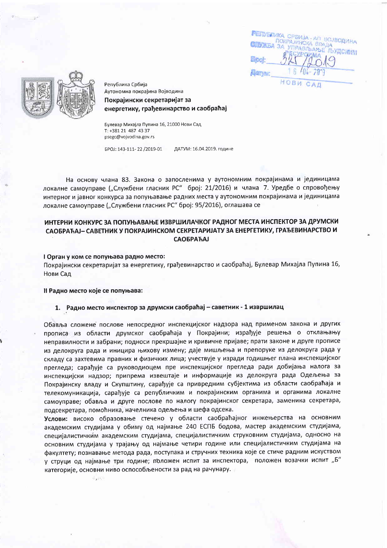**FEIDERIKA** CPSMJA ПОКРАЈИНСКА **УПРАВЛЬАН** Book **FLIGHTIME** НОВИ C



Република Србија Аутономна покрајина Војводина Покрајински секретаријат за енергетику, грађевинарство и саобраћај

Булевар Михајла Пупина 16, 21000 Нови Сад T: +381 21 487 43 37 psegc@vojvodina.gov.rs

EPOI: 143-111-22 /2019-01 ЛАТУМ: 16.04.2019 године

На основу члана 83. Закона о запосленима у аутономним покрајинама и јединицама локалне самоуправе ("Службени гласник РС" број: 21/2016) и члана 7. Уредбе о спровођењу интерног и јавног конкурса за попуњавање радних места у аутономним покрајинама и јединицама локалне самоуправе ("Службени гласник РС" број: 95/2016), оглашава се

# ИНТЕРНИ КОНКУРС ЗА ПОПУЊАВАЊЕ ИЗВРШИЛАЧКОГ РАДНОГ МЕСТА ИНСПЕКТОР ЗА ДРУМСКИ САОБРАЋАЈ- САВЕТНИК У ПОКРАЈИНСКОМ СЕКРЕТАРИЈАТУ ЗА ЕНЕРГЕТИКУ, ГРАЂЕВИНАРСТВО И **САОБРАЋАЈ**

### I Орган у ком се попуњава радно место:

Покрајински секретаријат за енергетику, грађевинарство и саобраћај, Булевар Михајла Пупина 16, Нови Сад

### Il Радно место које се попуњава:

 $6.15 -$ 

### 1. Радно место инспектор за друмски саобраћај - саветник - 1 извршилац

Обавља сложене послове непосредног инспекцијског надзора над применом закона и других прописа из области друмског саобраћаја у Покрајини; израђује решења о отклањању неправилности и забрани; подноси прекршајне и кривичне пријаве; прати законе и друге прописе из делокруга рада и иницира њихову измену; даје мишљења и препоруке из делокруга рада у складу са захтевима правних и физичких лица; учествује у изради годишњег плана инспекцијског прегледа; сарађује са руководиоцем пре инспекцијског прегледа ради добијања налога за инспекцијски надзор; припрема извештаје и информације из делокруга рада Одељења за Покрајинску владу и Скупштину, сарађује са привредним субјектима из области саобраћаја и телекомуникација, сарађује са републичким и покрајинским органима и органима локалне самоуправе; обавља и друге послове по налогу покрајинског секретара, заменика секретара, подсекретара, помоћника, начелника одељења и шефа одсека.

Услови: високо образовање стечено у области саобраћајног инжењерства на основним академским студијама у обиму од најмање 240 ЕСПБ бодова, мастер академским студијама, специјалистичким академским студијама, специјалистичким струковним студијама, односно на основним студијама у трајању од најмање четири године или специјалистичким студијама на факултету; познавање метода рада, поступака и стручних техника које се стиче радним искуством у струци од најмање три године; положен испит за инспектора, положен возачки испит "Б" категорије, основни ниво оспособљености за рад на рачунару.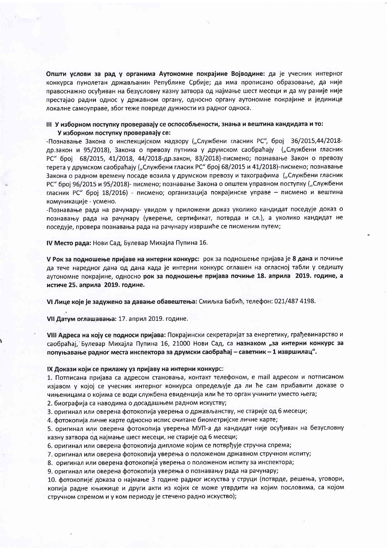Општи услови за рад у органима Аутономне покрајине Војводине: да је учесник интерног конкурса пунолетан држављанин Републике Србије; да има прописано образовање, да није правоснажно осуђиван на безусловну казну затвора од најмање шест месеци и да му раније није престајао радни однос у државном органу, односно органу аутономне покрајине и јединице локалне самоуправе, због теже повреде дужности из радног односа.

## III У изборном поступку проверавају се оспособљености, знања и вештина кандидата и то: У изборном поступку проверавају се:

-Познавање Закона о инспекцијском надзору ("Службени гласник РС", број 36/2015,44/2018др.закон и 95/2018), Закона о превозу путника у друмском саобраћају ("Службени гласник РС" број 68/2015, 41/2018, 44/2018-др.закон, 83/2018)-писмено; познавање Закон о превозу терета у друмском саобраћају ("Службени гласик РС" број 68/2015 и 41/2018)-писмено; познавање Закона о радном времену посаде возила у друмском превозу и тахографима ("Службени гласник РС" број 96/2015 и 95/2018)- писмено; познавање Закона о општем управном поступку ("Службени гласник РС" број 18/2016) - писмено; организација покрајинске управе - писмено и вештина комуникације - усмено.

-Познавање рада на рачунару- увидом у приложени доказ уколико кандидат поседује доказ о познавању рада на рачунару (уверење, сертификат, потврда и сл.), а уколико кандидат не поседује, провера познавања рада на рачунару извршиће се писменим путем;

IV Место рада: Нови Сад, Булевар Михајла Пупина 16.

V Рок за подношење пријаве на интерни конкурс: рок за подношење пријава је 8 дана и почиње да тече наредног дана од дана када је интерни конкурс оглашен на огласној табли у седишту аутономне покрајине, односно рок за подношење пријава почиње 18. априла 2019. године, а истиче 25. априла 2019. године.

VI Лице које је задужено за давање обавештења: Смиљка Бабић, телефон: 021/487 4198.

VII Датум оглашавања: 17. април 2019. године.

VIII Адреса на коју се подноси пријава: Покрајински секретаријат за енергетику, грађевинарство и саобраћај, Булевар Михајла Пупина 16, 21000 Нови Сад, са назнаком "за интерни конкурс за попуњавање радног места инспектора за друмски саобраћај - саветник - 1 извршилац".

#### IX Докази који се прилажу уз пријаву на интерни конкурс:

1. Потписана пријава са адресом становања, контакт телефоном, е mail адресом и потписаном изјавом у којој се учесник интерног конкурса опредељује да ли ће сам прибавити доказе о чињеницама о којима се води службена евиденција или ће то орган учинити уместо њега;

2. биографија са наводима о досадашњем радном искуству;

3. оригинал или оверена фотокопија уверења о држављанству, не старије од 6 месеци;

4. фотокопија личне карте односно испис очитане биометријске личне карте;

5. оригинал или оверена фотокопија уверења МУП-а да кандидат није осуђиван на безусловну казну затвора од најмање шест месеци, не старије од 6 месеци;

6. оригинал или оверена фотокопија дипломе којим се потврђује стручна спрема;

7. оригинал или оверена фотокопија уверења о положеном државном стручном испиту;

8. оригинал или оверена фотокопија уверења о положеном испиту за инспектора;

9. оригинал или оверена фотокопија уверења о познавању рада на рачунару;

10. фотокопије доказа о најмање 3 године радног искуства у струци (потврде, решења, уговори, копија радне књижице и други акти из којих се може утврдити на којим пословима, са којом стручном спремом и у ком периоду је стечено радно искуство);